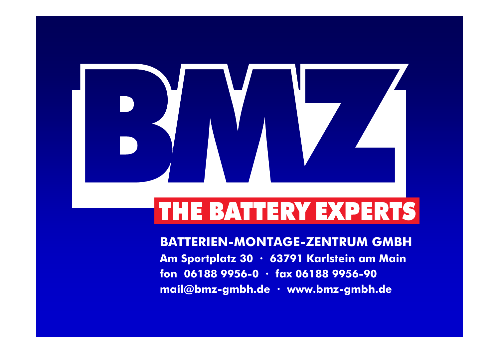

## THE BATTERY EXPERTS

**BATTERIEN-MONTAGE-ZENTRUM GMBH Am Sportplatz 30 · 63791 Karlstein am Main fon 06188 9956-0 · fax 06188 9956-90 mail@bmz-gmbh.de · www.bmz-gmbh.de**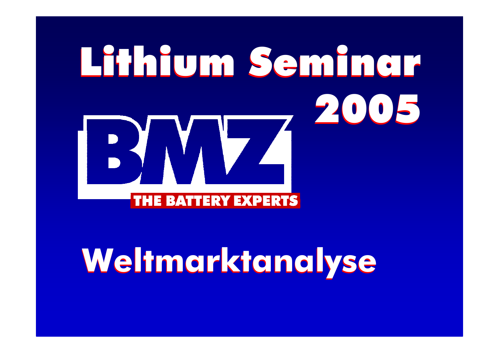# Lithium Seminar Lithium Seminar 2005 2005 BY VIV. THE BATTERY EXPERTS

# **Weltmarktanalyse Weltmarktanalyse**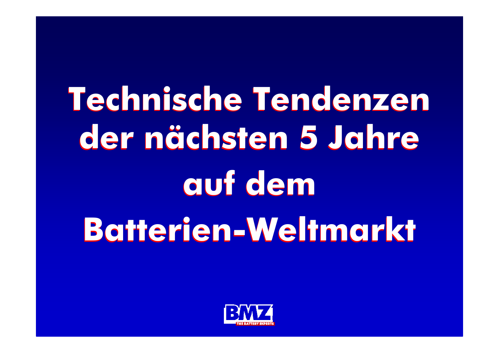# **Technische Tendenzen Technische Tendenzen der nächsten 5 Jahre der nächsten 5 Jahre auf dem auf dem Batterien-Weltmarkt Batterien-Weltmarkt**

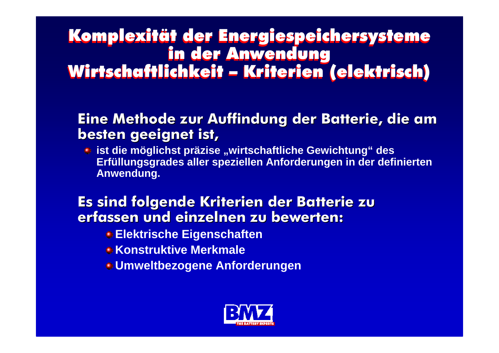#### Komplexität der Energiespeichersysteme in der Anwendung Wirtschaftlichkeit – Kriterien (elektrisch) Komplexität der Energiespeichersysteme in der Anwendung Wirtschaftlichkeit – Kriterien (elektrisch)

### **Eine Methode zur Auffindung der Batterie, die am besten geeignet ist,**

**• ist die möglichst präzise "wirtschaftliche Gewichtung" des Erfüllungsgrades aller speziellen Anforderungen in der definierten Anwendung.** 

### **Es sind folgende Kriterien der Batterie zu erfassen und einzelnen zu bewerten: erfassen und einzelnen zu bewerten:**

- **Elektrische Eigenschaften**
- **E** Konstruktive Merkmale
- **Umweltbezogene Anforderungen**

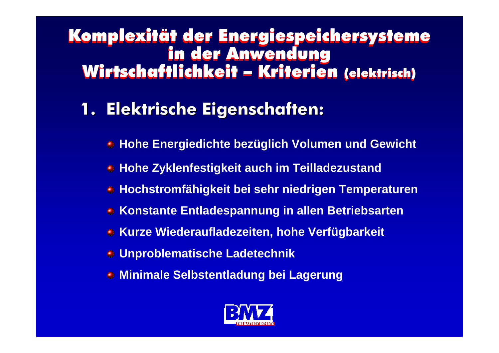### Komplexität der Energiespeichersysteme Komplexität der Energiespeichersysteme in der Anwendung in der Anwendung Wirtschaftlichkeit – Kriterien (elektrisch) Wirtschaftlichkeit – Kriterien (elektrisch)

### **1. Elektrische Eigenschaften: 1. Elektrische Eigenschaften:**

- **Hohe Energiedichte bezüglich Volumen und Gewicht** ۸
- **Hohe Zyklenfestigkeit auch im Teilladezustand**
- **Hochstromfähigkeit bei sehr niedrigen Temperaturen**
- **EXPONSTANTER Entladespannung in allen Betriebsarten**
- **Kurze Wiederaufladezeiten, hohe Verfügbarkeit**
- **Unproblematische Ladetechnik**
- **Minimale Selbstentladung bei Lagerung**

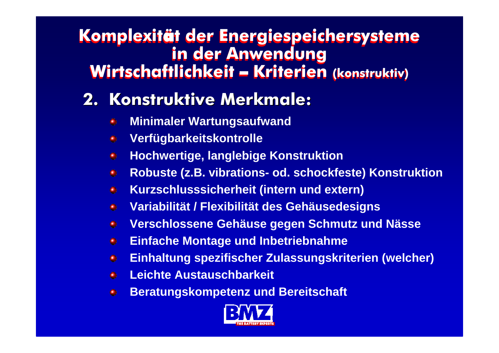### **Komplexit**ä**t der Energiespeichersysteme Komplexit**ä**t der Energiespeichersysteme in der Anwendung in der Anwendung Wirtschaftlichkeit** – **Kriterien (konstruktiv) Wirtschaftlichkeit** – **Kriterien (konstruktiv)**

### **2. Konstruktive Merkmale: 2. Konstruktive Merkmale:**

- **Minimaler Wartungsaufwand** ۰
- **Verfügbarkeitskontrolle** ۱
- **Hochwertige, langlebige Konstruktion**  ۰
- **Robuste (z.B. vibrations- od. schockfeste) Konstruktion**   $\bullet$
- **Kurzschlusssicherheit (intern und extern)**  $\bullet$
- **Variabilität / Flexibilität des Gehäusedesigns** ۰
- **Verschlossene Gehäuse gegen Schmutz und Nässe** ۰
- **Einfache Montage und Inbetriebnahme**  $\bullet$
- **Einhaltung spezifischer Zulassungskriterien (welcher)** ●
- **Leichte Austauschbarkeit**o.
- **Beratungskompetenz und Bereitschaft** $\bullet$

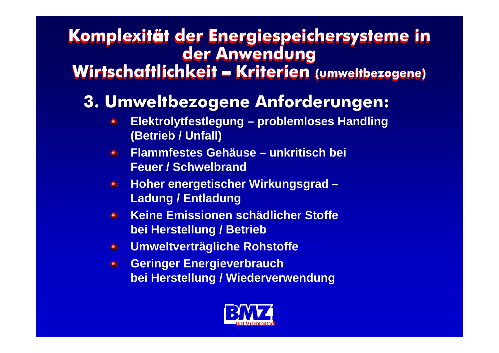#### **Komplexit** ä**t der Energiespeichersysteme in Komplexit** ä**t der Energiespeichersysteme in der Anwendung der Anwendung Wirtschaftlichkeit**  – **Kriterien (umweltbezogene) Wirtschaftlichkeit**  –**Kriterien (umweltbezogene)**

### **3. Umweltbezogene Anforderungen: 3. Umweltbezogene Anforderungen:**

- **Elektrolytfestlegung – problemloses Handling**  ۰ **(Betrieb / Unfall)**
- **Flammfestes Gehäuse – unkritisch bei**   $\bullet$ **Feuer / Schwelbrand**
- **Hoher energetischer Wirkungsgrad –**  $^{\circ}$ **Ladung / Entladung**
- **Keine Emissionen schädlicher Stoffe**   $\bullet$ **bei Herstellung / Betrieb**
- **Umweltverträgliche Rohstoffe**  $\bullet$
- **Geringer Energieverbrauch**   $\bullet$ **bei Herstellung / Wiederverwendung**

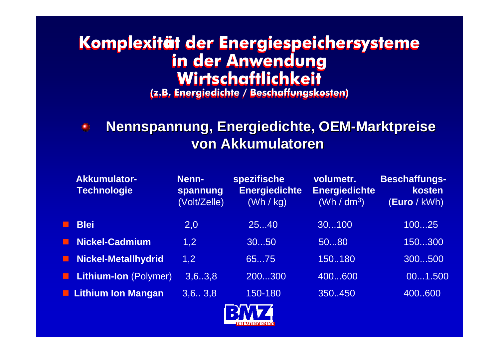### **Komplexit** ä**t der Energiespeichersysteme Komplexit** ä**t der Energiespeichersysteme in der Anwendung in der Anwendung Wirtschaftlichkeit Wirtschaftlichkeit**

**(z.B. Energiedichte / Beschaffungskosten) (z.B. Energiedichte / Beschaffungskosten)**



### **Nennspannung, Energiedichte, OEM Nennspannung, Energiedichte, OEM -Marktpreise Marktpreise von Akkumulatoren von Akkumulatoren**

| <b>Akkumulator-</b><br><b>Technologie</b> | Nenn-<br>spannung<br>(Volt/Zelle) | spezifische<br><b>Energiedichte</b><br>(Wh / kg) | volumetr.<br><b>Energiedichte</b><br>(Wh / dm <sup>3</sup> ) | <b>Beschaffungs-</b><br>kosten<br>(Euro / kWh) |
|-------------------------------------------|-----------------------------------|--------------------------------------------------|--------------------------------------------------------------|------------------------------------------------|
| <b>Blei</b>                               | 2,0                               | 2540                                             | 30100                                                        | 10025                                          |
| <b>Nickel-Cadmium</b>                     | 1,2                               | 3050                                             | 5080                                                         | 150300                                         |
| <b>Nickel-Metallhydrid</b>                | 1,2                               | 6575                                             | 150180                                                       | 300500                                         |
| Lithium-Ion (Polymer)                     | 3, 6, .3, 8                       | 200300                                           | 400600                                                       | 001.500                                        |
| <b>L.</b> Lithium Ion Mangan              | 3,6.7,3,8                         | 150-180                                          | 350.450                                                      | 400600                                         |
|                                           |                                   |                                                  |                                                              |                                                |

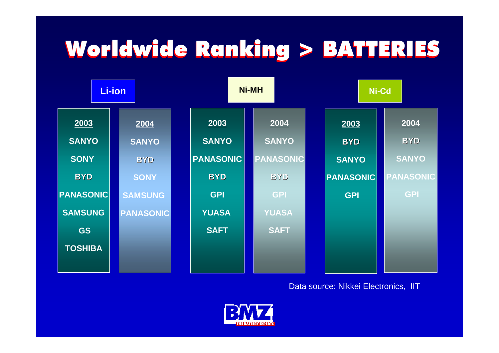## Worldwide Ranking > BATTERIES Worldwide Ranking > BATTERIES



Data source: Nikkei Electronics, IIT

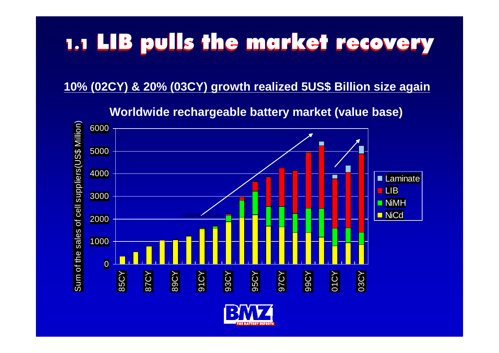## 1.1 LIB pulls the market recovery

#### **10% (02CY) & 20% (03CY) growth realized 5US\$ Billion size again**

01000 2000 3000 4000 5000 6000 Sum of the sales of cell suppliers(US\$ Million 85CY 87CY 89CY 91CY 93CY 95CY 97CY 99CY 01CY 03CY  $\widehat{\phantom{a}}$ Laminate LIB**NiMH n** NiCd

**Worldwide rechargeable battery market (value base)**

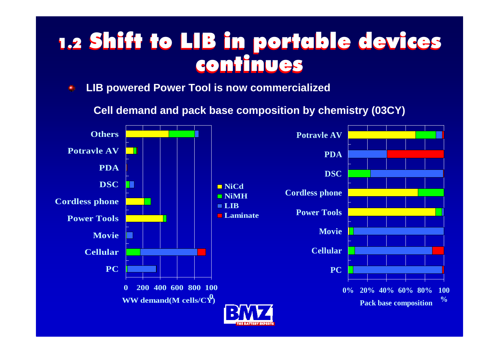## 1.2 Shift to LIB in portable devices 1.2 Shift to LIB in portable devices continues continues

**LIB powered Power Tool is now commercialized**  $\bigoplus$ 

**Cell demand and pack base composition by chemistry (03CY)**

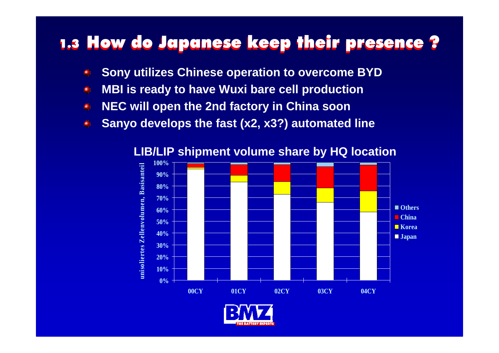### 1.3 How do Japanese keep their presence ?

- **Sony utilizes Chinese operation to overcome BYD** ۸
- **MBI is ready to have Wuxi bare cell production** ۸
- **NEC will open the 2nd factory in China soon** ۸
- **Sanyo develops the fast (x2, x3?) automated line**  $\oplus$



**LIB/LIP shipment volume share by HQ location**

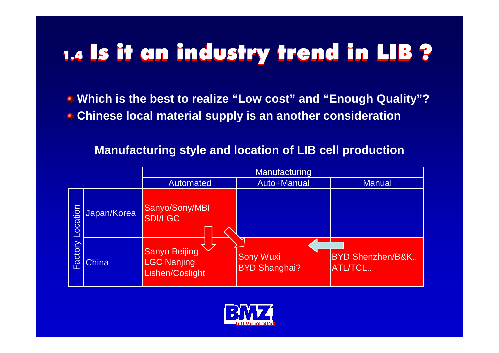## 1.4 Is it an industry trend in LIB ?

**Which is the best to realize "Low cost" and "Enough Quality"? Chinese local material supply is an another consideration**

#### **Manufacturing style and location of LIB cell production**

|                     |              | Manufacturing                                                 |                                          |                                        |  |  |
|---------------------|--------------|---------------------------------------------------------------|------------------------------------------|----------------------------------------|--|--|
|                     |              | Automated                                                     | Auto+Manual                              | <b>Manual</b>                          |  |  |
| Location<br>Factory | Japan/Korea  | Sanyo/Sony/MBI<br><b>SDI/LGC</b>                              |                                          |                                        |  |  |
|                     | <b>China</b> | <b>Sanyo Beijing</b><br><b>LGC Nanjing</b><br>Lishen/Coslight | <b>Sony Wuxi</b><br><b>BYD Shanghai?</b> | <b>BYD Shenzhen/B&amp;K</b><br>ATL/TCL |  |  |

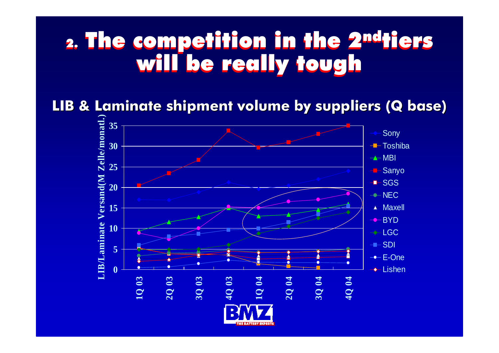### 2. The competition in the 2ndtiers will be really tough will be really tough 2. The competition in the 2ndtiers

**LIB & Laminate shipment volume by suppliers (Q base) LIB & Laminate shipment volume by suppliers (Q base)**

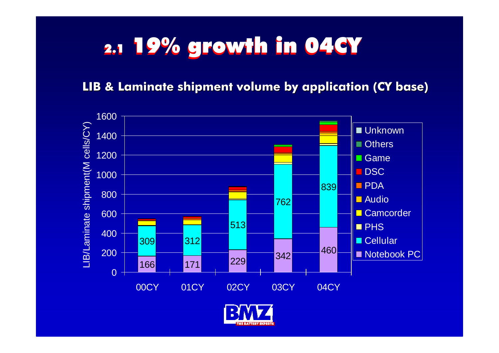## 2.1 **19% growth in 04CY**

### **LIB & Laminate shipment volume by application (CY base)**



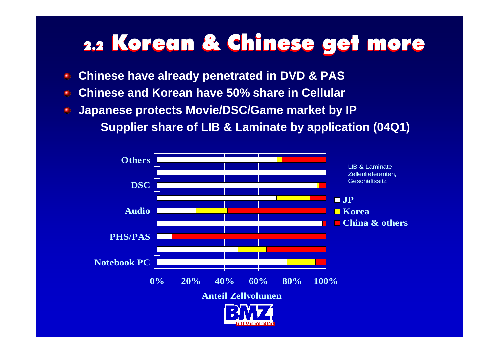## 2.2 Korean & Chinese get more

- **Chinese have already penetrated in DVD & PAS**
- **Chinese and Korean have 50% share in Cellular** $\bigcirc$
- **Japanese protects Movie/DSC/Game market by IP**

**Supplier share of LIB & Laminate by application (04Q1)**

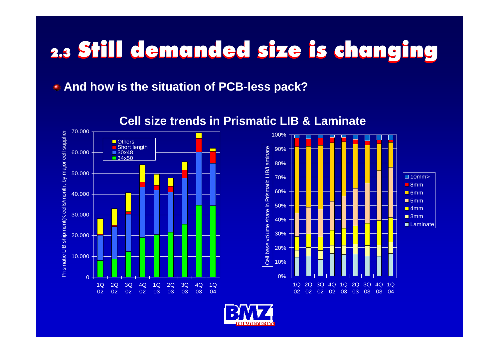## 2.3 Still demanded size is changing

**And how is the situation of PCB-less pack?**



#### **Cell size trends in Prismatic LIB & Laminate**



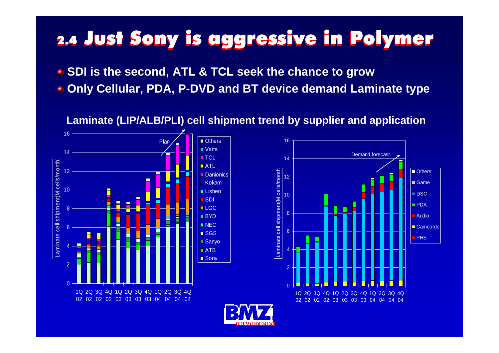## 2.4 2.4 Just Sony is aggressive in Polymer Just Sony is aggressive in Polymer

**SDI is the second, ATL & TCL seek the chance to grow**

**Only Cellular, PDA, P-DVD and BT device demand Laminate type**

**Laminate (LIP/ALB/PLI) cell shipment trend by supplier and application**





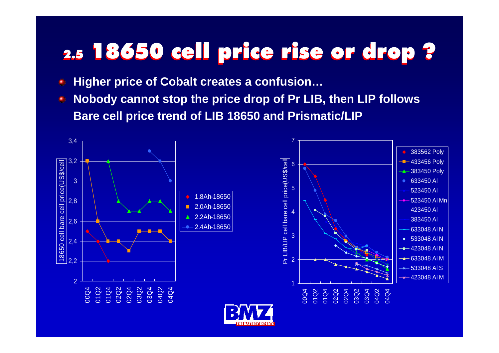## 2.5 2.5 18650 cell price rise or drop ? 18650 cell price rise or drop ?

- **Higher price of Cobalt creates a confusion…** ۸
- **Nobody cannot stop the price drop of Pr LIB, then LIP follows Bare cell price trend of LIB 18650 and Prismatic/LIP**

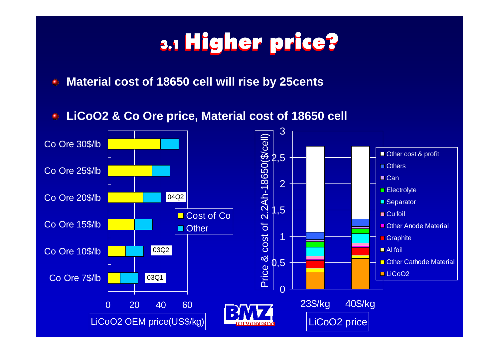## 3.1 Higher price?

**Material cost of 18650 cell will rise by 25cents**  $\oplus$ 

**LiCoO2 & Co Ore price, Material cost of 18650 cell** ۰

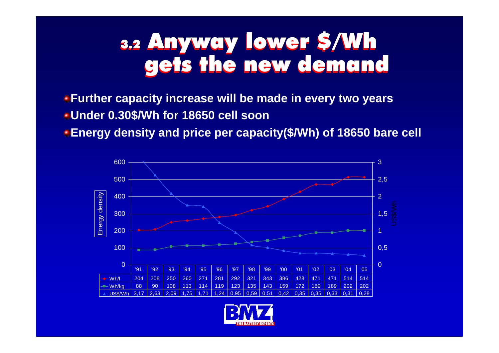#### 3.2 Anyway lower \$/Wh gets the new demand 3.2 Anyway lower \$/Wh gets the new demand

**Further capacity increase will be made in every two years Under 0.30\$/Wh for 18650 cell soon**

**Energy density and price per capacity(\$/Wh) of 18650 bare cell**



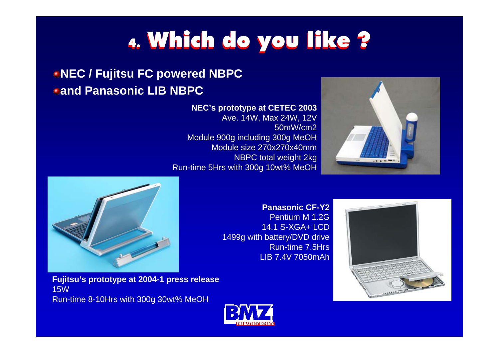## 4. Which do you like ?

### **NEC / Fujitsu FC powered NBPC and Panasonic LIB NBPC**

#### **NEC's prototype at CETEC 2003**

Ave. 14W, Max 24W, 12V 50mW/cm2Module 900g including 300g MeOH Module size 270x270x40mmNBPC total weight 2kg Run-time 5Hrs with 300g 10wt% MeOH





**Panasonic CF-Y2**

Pentium M 1.2G14.1 S-XGA+ LCD1499g with battery/DVD drive Run-time 7.5HrsLIB 7.4V 7050mAh



**Fujitsu's prototype at 2004-1 press release** 15WRun-time 8-10Hrs with 300g 30wt% MeOH